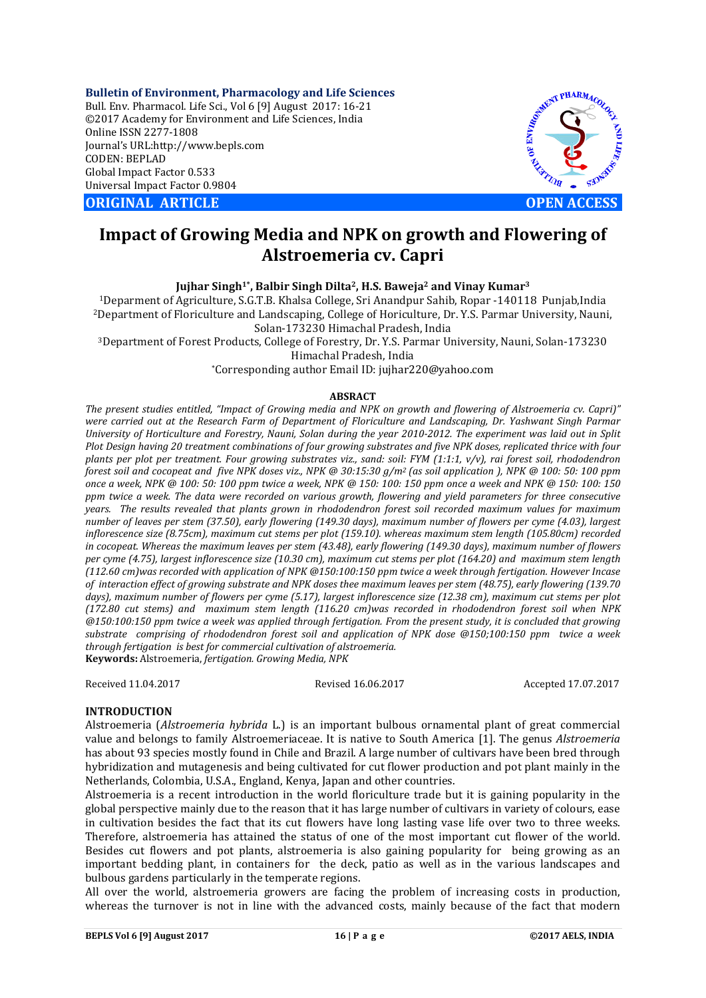**Bulletin of Environment, Pharmacology and Life Sciences** Bull. Env. Pharmacol. Life Sci., Vol 6 [9] August 2017: 16-21 ©2017 Academy for Environment and Life Sciences, India Online ISSN 2277-1808 Journal's URL:http://www.bepls.com CODEN: BEPLAD Global Impact Factor 0.533 Universal Impact Factor 0.9804

**ORIGINAL ARTICLE OPEN ACCESS**



# **Impact of Growing Media and NPK on growth and Flowering of Alstroemeria cv. Capri**

**Jujhar Singh1\*, Balbir Singh Dilta2, H.S. Baweja2 and Vinay Kumar3**

1Deparment of Agriculture, S.G.T.B. Khalsa College, Sri Anandpur Sahib, Ropar -140118 Punjab,India 2Department of Floriculture and Landscaping, College of Horiculture, Dr. Y.S. Parmar University, Nauni, Solan-173230 Himachal Pradesh, India

3Department of Forest Products, College of Forestry, Dr. Y.S. Parmar University, Nauni, Solan-173230

Himachal Pradesh, India

\*Corresponding author Email ID: jujhar220@yahoo.com

## **ABSRACT**

*The present studies entitled, "Impact of Growing media and NPK on growth and flowering of Alstroemeria cv. Capri)" were carried out at the Research Farm of Department of Floriculture and Landscaping, Dr. Yashwant Singh Parmar University of Horticulture and Forestry, Nauni, Solan during the year 2010-2012. The experiment was laid out in Split Plot Design having 20 treatment combinations of four growing substrates and five NPK doses, replicated thrice with four plants per plot per treatment. Four growing substrates viz., sand: soil: FYM (1:1:1, v/v), rai forest soil, rhododendron forest soil and cocopeat and five NPK doses viz., NPK @ 30:15:30 g/m2 (as soil application ), NPK @ 100: 50: 100 ppm once a week, NPK @ 100: 50: 100 ppm twice a week, NPK @ 150: 100: 150 ppm once a week and NPK @ 150: 100: 150 ppm twice a week. The data were recorded on various growth, flowering and yield parameters for three consecutive years. The results revealed that plants grown in rhododendron forest soil recorded maximum values for maximum number of leaves per stem (37.50), early flowering (149.30 days), maximum number of flowers per cyme (4.03), largest inflorescence size (8.75cm), maximum cut stems per plot (159.10). whereas maximum stem length (105.80cm) recorded in cocopeat. Whereas the maximum leaves per stem (43.48), early flowering (149.30 days), maximum number of flowers per cyme (4.75), largest inflorescence size (10.30 cm), maximum cut stems per plot (164.20) and maximum stem length (112.60 cm)was recorded with application of NPK @150:100:150 ppm twice a week through fertigation. However Incase of interaction effect of growing substrate and NPK doses thee maximum leaves per stem (48.75), early flowering (139.70 days), maximum number of flowers per cyme (5.17), largest inflorescence size (12.38 cm), maximum cut stems per plot (172.80 cut stems) and maximum stem length (116.20 cm)was recorded in rhododendron forest soil when NPK @150:100:150 ppm twice a week was applied through fertigation. From the present study, it is concluded that growing substrate comprising of rhododendron forest soil and application of NPK dose @150;100:150 ppm twice a week through fertigation is best for commercial cultivation of alstroemeria.* **Keywords:** Alstroemeria, *fertigation. Growing Media, NPK*

Received 11.04.2017 Revised 16.06.2017 Accepted 17.07.2017

### **INTRODUCTION**

Alstroemeria (*Alstroemeria hybrida* L.) is an important bulbous ornamental plant of great commercial value and belongs to family Alstroemeriaceae. It is native to South America [1]. The genus *Alstroemeria*  has about 93 species mostly found in Chile and Brazil. A large number of cultivars have been bred through hybridization and mutagenesis and being cultivated for cut flower production and pot plant mainly in the Netherlands, Colombia, U.S.A., England, Kenya, Japan and other countries.

Alstroemeria is a recent introduction in the world floriculture trade but it is gaining popularity in the global perspective mainly due to the reason that it has large number of cultivars in variety of colours, ease in cultivation besides the fact that its cut flowers have long lasting vase life over two to three weeks. Therefore, alstroemeria has attained the status of one of the most important cut flower of the world. Besides cut flowers and pot plants, alstroemeria is also gaining popularity for being growing as an important bedding plant, in containers for the deck, patio as well as in the various landscapes and bulbous gardens particularly in the temperate regions.

All over the world, alstroemeria growers are facing the problem of increasing costs in production, whereas the turnover is not in line with the advanced costs, mainly because of the fact that modern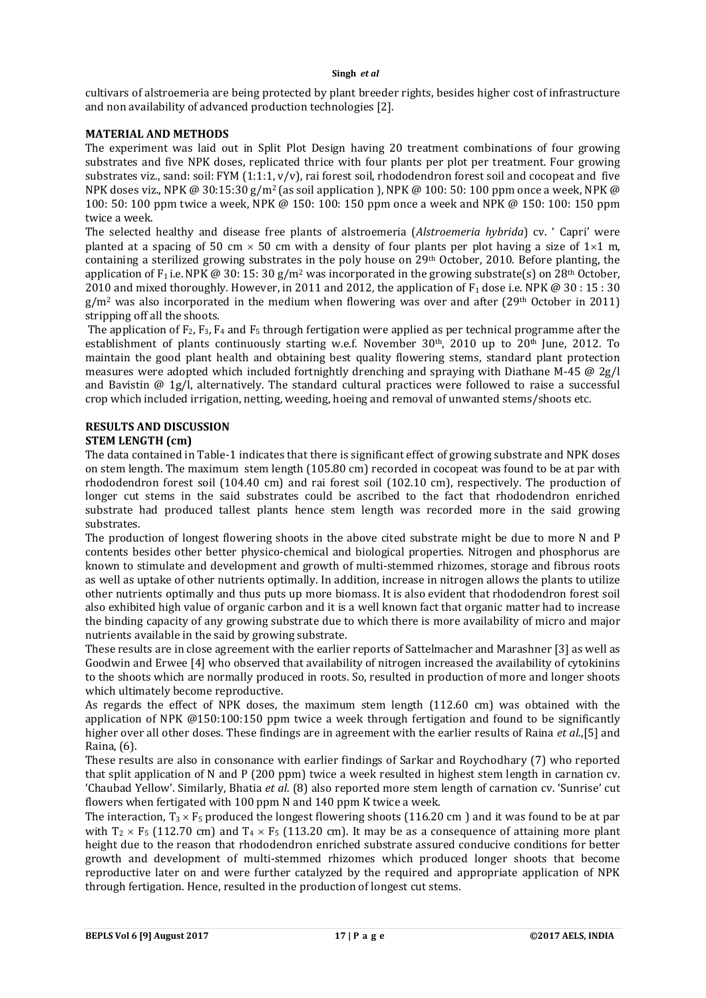cultivars of alstroemeria are being protected by plant breeder rights, besides higher cost of infrastructure and non availability of advanced production technologies [2].

## **MATERIAL AND METHODS**

The experiment was laid out in Split Plot Design having 20 treatment combinations of four growing substrates and five NPK doses, replicated thrice with four plants per plot per treatment. Four growing substrates viz., sand: soil: FYM (1:1:1, v/v), rai forest soil, rhododendron forest soil and cocopeat and five NPK doses viz., NPK @ 30:15:30 g/m<sup>2</sup> (as soil application ), NPK @ 100: 50: 100 ppm once a week, NPK @ 100: 50: 100 ppm twice a week, NPK @ 150: 100: 150 ppm once a week and NPK @ 150: 100: 150 ppm twice a week.

The selected healthy and disease free plants of alstroemeria (*Alstroemeria hybrida*) cv. ' Capri' were planted at a spacing of 50 cm  $\times$  50 cm with a density of four plants per plot having a size of 1 $\times$ 1 m, containing a sterilized growing substrates in the poly house on 29th October, 2010. Before planting, the application of F<sub>1</sub> i.e. NPK @ 30: 15: 30 g/m<sup>2</sup> was incorporated in the growing substrate(s) on 28<sup>th</sup> October, 2010 and mixed thoroughly. However, in 2011 and 2012, the application of  $F_1$  dose i.e. NPK @ 30 : 15 : 30  $g/m^2$  was also incorporated in the medium when flowering was over and after (29<sup>th</sup> October in 2011) stripping off all the shoots.

The application of  $F_2$ ,  $F_3$ ,  $F_4$  and  $F_5$  through fertigation were applied as per technical programme after the establishment of plants continuously starting w.e.f. November 30<sup>th</sup>, 2010 up to 20<sup>th</sup> June, 2012. To maintain the good plant health and obtaining best quality flowering stems, standard plant protection measures were adopted which included fortnightly drenching and spraying with Diathane M-45 @ 2g/l and Bavistin @ 1g/l, alternatively. The standard cultural practices were followed to raise a successful crop which included irrigation, netting, weeding, hoeing and removal of unwanted stems/shoots etc.

# **RESULTS AND DISCUSSION**

## **STEM LENGTH (cm)**

The data contained in Table-1 indicates that there is significant effect of growing substrate and NPK doses on stem length. The maximum stem length (105.80 cm) recorded in cocopeat was found to be at par with rhododendron forest soil (104.40 cm) and rai forest soil (102.10 cm), respectively. The production of longer cut stems in the said substrates could be ascribed to the fact that rhododendron enriched substrate had produced tallest plants hence stem length was recorded more in the said growing substrates.

The production of longest flowering shoots in the above cited substrate might be due to more N and P contents besides other better physico-chemical and biological properties. Nitrogen and phosphorus are known to stimulate and development and growth of multi-stemmed rhizomes, storage and fibrous roots as well as uptake of other nutrients optimally. In addition, increase in nitrogen allows the plants to utilize other nutrients optimally and thus puts up more biomass. It is also evident that rhododendron forest soil also exhibited high value of organic carbon and it is a well known fact that organic matter had to increase the binding capacity of any growing substrate due to which there is more availability of micro and major nutrients available in the said by growing substrate.

These results are in close agreement with the earlier reports of Sattelmacher and Marashner [3] as well as Goodwin and Erwee [4] who observed that availability of nitrogen increased the availability of cytokinins to the shoots which are normally produced in roots. So, resulted in production of more and longer shoots which ultimately become reproductive.

As regards the effect of NPK doses, the maximum stem length (112.60 cm) was obtained with the application of NPK @150:100:150 ppm twice a week through fertigation and found to be significantly higher over all other doses. These findings are in agreement with the earlier results of Raina *et al*.,[5] and Raina, (6).

These results are also in consonance with earlier findings of Sarkar and Roychodhary (7) who reported that split application of N and P (200 ppm) twice a week resulted in highest stem length in carnation cv. 'Chaubad Yellow'. Similarly, Bhatia *et al*. (8) also reported more stem length of carnation cv. 'Sunrise' cut flowers when fertigated with 100 ppm N and 140 ppm K twice a week.

The interaction,  $T_3 \times F_5$  produced the longest flowering shoots (116.20 cm) and it was found to be at par with  $T_2 \times F_5$  (112.70 cm) and  $T_4 \times F_5$  (113.20 cm). It may be as a consequence of attaining more plant height due to the reason that rhododendron enriched substrate assured conducive conditions for better growth and development of multi-stemmed rhizomes which produced longer shoots that become reproductive later on and were further catalyzed by the required and appropriate application of NPK through fertigation. Hence, resulted in the production of longest cut stems.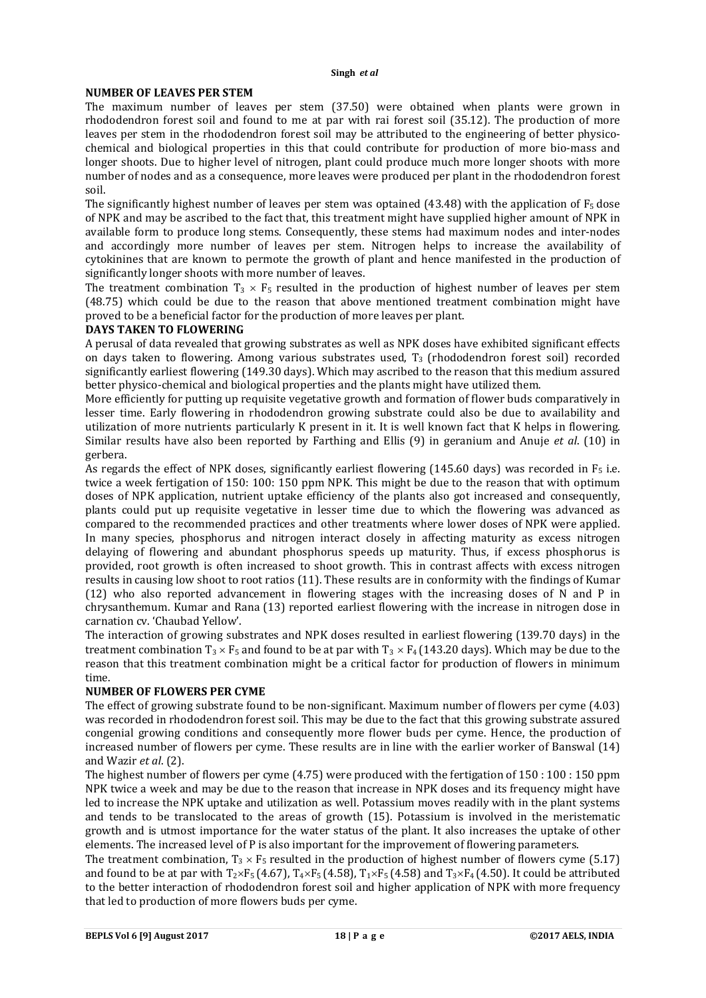#### **NUMBER OF LEAVES PER STEM**

The maximum number of leaves per stem (37.50) were obtained when plants were grown in rhododendron forest soil and found to me at par with rai forest soil (35.12). The production of more leaves per stem in the rhododendron forest soil may be attributed to the engineering of better physicochemical and biological properties in this that could contribute for production of more bio-mass and longer shoots. Due to higher level of nitrogen, plant could produce much more longer shoots with more number of nodes and as a consequence, more leaves were produced per plant in the rhododendron forest soil.

The significantly highest number of leaves per stem was optained  $(43.48)$  with the application of  $F_5$  dose of NPK and may be ascribed to the fact that, this treatment might have supplied higher amount of NPK in available form to produce long stems. Consequently, these stems had maximum nodes and inter-nodes and accordingly more number of leaves per stem. Nitrogen helps to increase the availability of cytokinines that are known to permote the growth of plant and hence manifested in the production of significantly longer shoots with more number of leaves.

The treatment combination  $T_3 \times F_5$  resulted in the production of highest number of leaves per stem (48.75) which could be due to the reason that above mentioned treatment combination might have proved to be a beneficial factor for the production of more leaves per plant.

### **DAYS TAKEN TO FLOWERING**

A perusal of data revealed that growing substrates as well as NPK doses have exhibited significant effects on days taken to flowering. Among various substrates used,  $T_3$  (rhododendron forest soil) recorded significantly earliest flowering (149.30 days). Which may ascribed to the reason that this medium assured better physico-chemical and biological properties and the plants might have utilized them.

More efficiently for putting up requisite vegetative growth and formation of flower buds comparatively in lesser time. Early flowering in rhododendron growing substrate could also be due to availability and utilization of more nutrients particularly K present in it. It is well known fact that K helps in flowering. Similar results have also been reported by Farthing and Ellis (9) in geranium and Anuje *et al*. (10) in gerbera.

As regards the effect of NPK doses, significantly earliest flowering (145.60 days) was recorded in  $F_5$  i.e. twice a week fertigation of 150: 100: 150 ppm NPK. This might be due to the reason that with optimum doses of NPK application, nutrient uptake efficiency of the plants also got increased and consequently, plants could put up requisite vegetative in lesser time due to which the flowering was advanced as compared to the recommended practices and other treatments where lower doses of NPK were applied. In many species, phosphorus and nitrogen interact closely in affecting maturity as excess nitrogen delaying of flowering and abundant phosphorus speeds up maturity. Thus, if excess phosphorus is provided, root growth is often increased to shoot growth. This in contrast affects with excess nitrogen results in causing low shoot to root ratios (11). These results are in conformity with the findings of Kumar (12) who also reported advancement in flowering stages with the increasing doses of N and P in chrysanthemum. Kumar and Rana (13) reported earliest flowering with the increase in nitrogen dose in carnation cv. 'Chaubad Yellow'.

The interaction of growing substrates and NPK doses resulted in earliest flowering (139.70 days) in the treatment combination  $T_3 \times F_5$  and found to be at par with  $T_3 \times F_4$  (143.20 days). Which may be due to the reason that this treatment combination might be a critical factor for production of flowers in minimum time.

### **NUMBER OF FLOWERS PER CYME**

The effect of growing substrate found to be non-significant. Maximum number of flowers per cyme (4.03) was recorded in rhododendron forest soil. This may be due to the fact that this growing substrate assured congenial growing conditions and consequently more flower buds per cyme. Hence, the production of increased number of flowers per cyme. These results are in line with the earlier worker of Banswal (14) and Wazir *et al*. (2).

The highest number of flowers per cyme (4.75) were produced with the fertigation of 150 : 100 : 150 ppm NPK twice a week and may be due to the reason that increase in NPK doses and its frequency might have led to increase the NPK uptake and utilization as well. Potassium moves readily with in the plant systems and tends to be translocated to the areas of growth (15). Potassium is involved in the meristematic growth and is utmost importance for the water status of the plant. It also increases the uptake of other elements. The increased level of P is also important for the improvement of flowering parameters.

The treatment combination,  $T_3 \times F_5$  resulted in the production of highest number of flowers cyme (5.17) and found to be at par with  $T_2\times F_5$  (4.67),  $T_4\times F_5$  (4.58),  $T_1\times F_5$  (4.58) and  $T_3\times F_4$  (4.50). It could be attributed to the better interaction of rhododendron forest soil and higher application of NPK with more frequency that led to production of more flowers buds per cyme.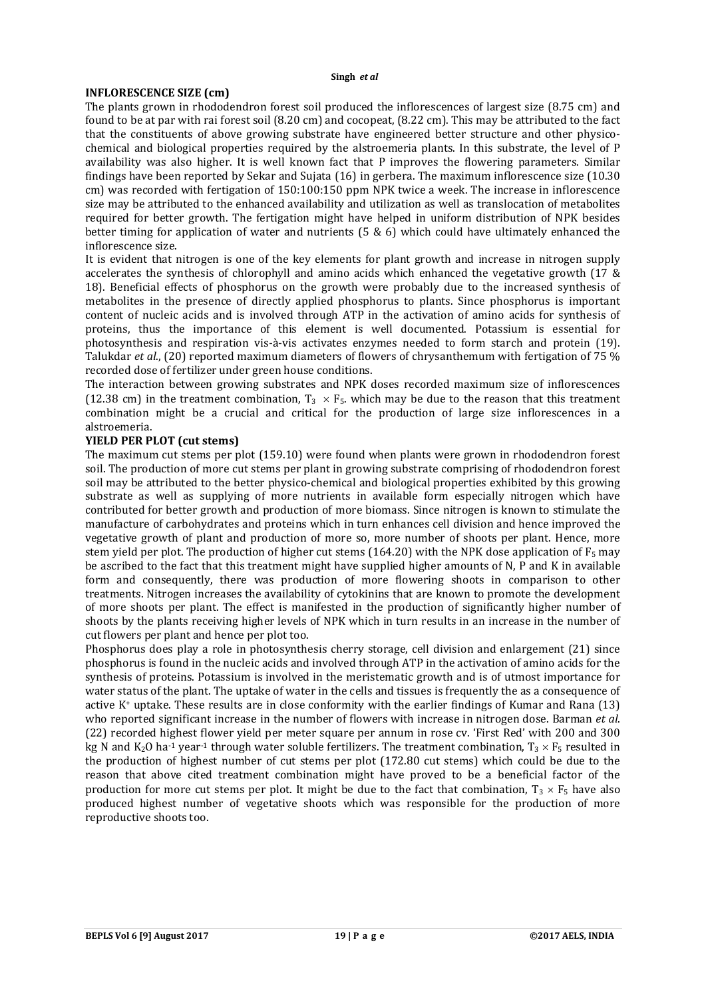#### **INFLORESCENCE SIZE (cm)**

The plants grown in rhododendron forest soil produced the inflorescences of largest size (8.75 cm) and found to be at par with rai forest soil (8.20 cm) and cocopeat, (8.22 cm). This may be attributed to the fact that the constituents of above growing substrate have engineered better structure and other physicochemical and biological properties required by the alstroemeria plants. In this substrate, the level of P availability was also higher. It is well known fact that P improves the flowering parameters. Similar findings have been reported by Sekar and Sujata (16) in gerbera. The maximum inflorescence size (10.30 cm) was recorded with fertigation of 150:100:150 ppm NPK twice a week. The increase in inflorescence size may be attributed to the enhanced availability and utilization as well as translocation of metabolites required for better growth. The fertigation might have helped in uniform distribution of NPK besides better timing for application of water and nutrients (5 & 6) which could have ultimately enhanced the inflorescence size.

It is evident that nitrogen is one of the key elements for plant growth and increase in nitrogen supply accelerates the synthesis of chlorophyll and amino acids which enhanced the vegetative growth (17 & 18). Beneficial effects of phosphorus on the growth were probably due to the increased synthesis of metabolites in the presence of directly applied phosphorus to plants. Since phosphorus is important content of nucleic acids and is involved through ATP in the activation of amino acids for synthesis of proteins, thus the importance of this element is well documented. Potassium is essential for photosynthesis and respiration vis-à-vis activates enzymes needed to form starch and protein (19). Talukdar *et al*., (20) reported maximum diameters of flowers of chrysanthemum with fertigation of 75 % recorded dose of fertilizer under green house conditions.

The interaction between growing substrates and NPK doses recorded maximum size of inflorescences (12.38 cm) in the treatment combination,  $T_3 \times F_5$ , which may be due to the reason that this treatment combination might be a crucial and critical for the production of large size inflorescences in a alstroemeria.

## **YIELD PER PLOT (cut stems)**

The maximum cut stems per plot (159.10) were found when plants were grown in rhododendron forest soil. The production of more cut stems per plant in growing substrate comprising of rhododendron forest soil may be attributed to the better physico-chemical and biological properties exhibited by this growing substrate as well as supplying of more nutrients in available form especially nitrogen which have contributed for better growth and production of more biomass. Since nitrogen is known to stimulate the manufacture of carbohydrates and proteins which in turn enhances cell division and hence improved the vegetative growth of plant and production of more so, more number of shoots per plant. Hence, more stem yield per plot. The production of higher cut stems (164.20) with the NPK dose application of  $F_5$  may be ascribed to the fact that this treatment might have supplied higher amounts of N, P and K in available form and consequently, there was production of more flowering shoots in comparison to other treatments. Nitrogen increases the availability of cytokinins that are known to promote the development of more shoots per plant. The effect is manifested in the production of significantly higher number of shoots by the plants receiving higher levels of NPK which in turn results in an increase in the number of cut flowers per plant and hence per plot too.

Phosphorus does play a role in photosynthesis cherry storage, cell division and enlargement (21) since phosphorus is found in the nucleic acids and involved through ATP in the activation of amino acids for the synthesis of proteins. Potassium is involved in the meristematic growth and is of utmost importance for water status of the plant. The uptake of water in the cells and tissues is frequently the as a consequence of active K+ uptake. These results are in close conformity with the earlier findings of Kumar and Rana (13) who reported significant increase in the number of flowers with increase in nitrogen dose. Barman *et al*. (22) recorded highest flower yield per meter square per annum in rose cv. 'First Red' with 200 and 300 kg N and K<sub>2</sub>O ha<sup>-1</sup> year<sup>-1</sup> through water soluble fertilizers. The treatment combination,  $T_3 \times F_5$  resulted in the production of highest number of cut stems per plot (172.80 cut stems) which could be due to the reason that above cited treatment combination might have proved to be a beneficial factor of the production for more cut stems per plot. It might be due to the fact that combination,  $T_3 \times F_5$  have also produced highest number of vegetative shoots which was responsible for the production of more reproductive shoots too.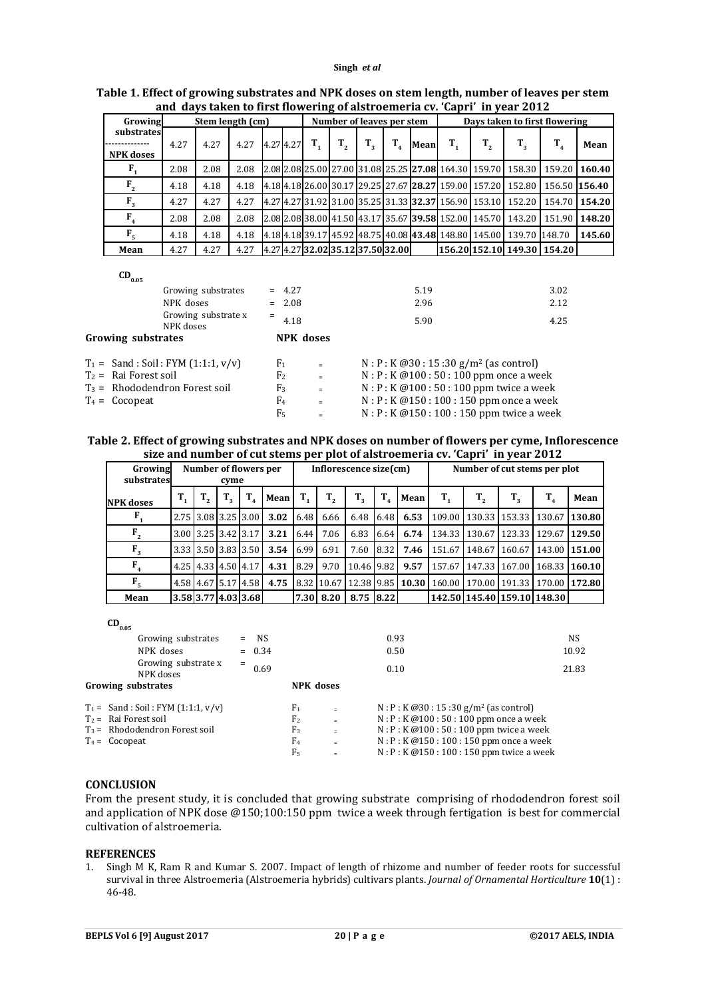|                                |      |      |      |           |  |                           |                                   |             |         |                               |             |         | and days taken to first howering of alstroemeria cv. Capri Th year 2012 |                             |               |
|--------------------------------|------|------|------|-----------|--|---------------------------|-----------------------------------|-------------|---------|-------------------------------|-------------|---------|-------------------------------------------------------------------------|-----------------------------|---------------|
| Growing<br>Stem length (cm)    |      |      |      |           |  | Number of leaves per stem |                                   |             |         | Days taken to first flowering |             |         |                                                                         |                             |               |
| substrates<br><b>NPK</b> doses | 4.27 | 4.27 | 4.27 | 4.27 4.27 |  | $T_{1}$                   | T.,                               | $T_{\rm g}$ | $T_{4}$ | Mean                          | $T_{\rm a}$ | $T_{2}$ | $T_{2}$                                                                 | $T_{4}$                     | Mean          |
| $\mathbf{F}_{1}$               | 2.08 | 2.08 | 2.08 |           |  |                           |                                   |             |         |                               |             |         | 2.08 2.08 25.00 27.00 31.08 25.25 27.08 164.30 159.70 158.30            |                             | 159.20 160.40 |
| $F_{2}$                        | 4.18 | 4.18 | 4.18 |           |  |                           |                                   |             |         |                               |             |         | 4.18 4.18 26.00 30.17 29.25 27.67 28.27 159.00 157.20 152.80            |                             | 156.50 156.40 |
| $F_{3}$                        | 4.27 | 4.27 | 4.27 |           |  |                           |                                   |             |         |                               |             |         | 4.27 4.27 31.92 31.00 35.25 31.33 32.37 156.90 153.10 152.20            |                             | 154.70 154.20 |
| $F_{4}$                        | 2.08 | 2.08 | 2.08 |           |  |                           |                                   |             |         |                               |             |         | 2.082.0838.00141.50143.17135.67139.581152.001145.701143.20              | 151.90                      | 148.20        |
| F <sub>5</sub>                 | 4.18 | 4.18 | 4.18 |           |  |                           |                                   |             |         |                               |             |         | 4.18 4.18 39.17 45.92 48.75 40.08 43.48 148.80 145.00 139.70 148.70     |                             | 145.60        |
| Mean                           | 4.27 | 4.27 | 4.27 |           |  |                           | 4.27 4.27 32.02 35.12 37.50 32.00 |             |         |                               |             |         |                                                                         | 156.20 152.10 149.30 154.20 |               |

## **Table 1. Effect of growing substrates and NPK doses on stem length, number of leaves per stem and days taken to first flowering of alstroemeria cv. 'Capri' in year 2012**

#### $CD_{0.05}$

| Growing substrates<br>NPK doses          | $= 4.27$<br>$= 2.08$ |                  | 5.19<br>3.02<br>2.96<br>2.12                  |      |  |  |
|------------------------------------------|----------------------|------------------|-----------------------------------------------|------|--|--|
| Growing substrate x<br>NPK doses         | $=$<br>4.18          |                  | 5.90                                          | 4.25 |  |  |
| Growing substrates                       |                      | <b>NPK</b> doses |                                               |      |  |  |
| $T_1 =$ Sand : Soil : FYM $(1:1:1, v/v)$ | F <sub>1</sub>       | $=$              | $N : P : K @30 : 15 : 30 g/m^2$ (as control)  |      |  |  |
| $T_2$ = Rai Forest soil                  | F <sub>2</sub>       | $\equiv$         | $N : P : K @ 100 : 50 : 100$ ppm once a week  |      |  |  |
| $T_3$ = Rhododendron Forest soil         | F <sub>3</sub>       | $\equiv$         | $N : P : K @ 100 : 50 : 100$ ppm twice a week |      |  |  |
| $T_4 = Cocopeat$                         | F <sub>4</sub>       | $=$              | $N : P : K @ 150 : 100 : 150$ ppm once a week |      |  |  |
|                                          | F5                   | $=$              | N: P: K @150: 100: 150 ppm twice a week       |      |  |  |

#### **Table 2. Effect of growing substrates and NPK doses on number of flowers per cyme, Inflorescence size and number of cut stems per plot of alstroemeria cv. 'Capri' in year 2012**

|                           |    |                               |                            |                          |      |           |                        |             |                             |                              | size and number of eur stems per plot of alsu ochieria ev. 'eapri' in year 2012 |    |                                            |      |
|---------------------------|----|-------------------------------|----------------------------|--------------------------|------|-----------|------------------------|-------------|-----------------------------|------------------------------|---------------------------------------------------------------------------------|----|--------------------------------------------|------|
| Growing<br>substrates     |    | Number of flowers per<br>cyme |                            |                          |      |           | Inflorescence size(cm) |             |                             | Number of cut stems per plot |                                                                                 |    |                                            |      |
| <b>NPK</b> doses          | T. | $T_{\tiny{2}}$                | $T_{\scriptscriptstyle A}$ | Mean                     |      | $T_{2}$   | $T_{\rm a}$            | $T_{\rm A}$ | Mean                        | T,                           | $T_{2}$                                                                         | Т, | $\mathbf{T}_4$                             | Mean |
| $\mathbf{F}_{\mathbf{a}}$ |    |                               |                            | 2.75 3.08 3.25 3.00 3.02 | 6.48 | 6.66      | 6.48                   |             | $6.48 \quad 6.53$           |                              |                                                                                 |    | 109.00   130.33   153.33   130.67   130.80 |      |
| $F_{2}$                   |    | 3.00 3.25 3.42 3.17           |                            | 3.21                     | 6.44 | 7.06      | 6.83                   |             | 6.64 6.74                   |                              |                                                                                 |    | 134.33   130.67   123.33   129.67   129.50 |      |
| $F_{3}$                   |    |                               |                            | 3.33 3.50 3.83 3.50 3.54 |      | 6.99 6.91 | 7.60                   | 8.32        | 7.46                        |                              |                                                                                 |    | 151.67 148.67 160.67 143.00 151.00         |      |
| $F_{4}$                   |    | 4.25 4.33 4.50 4.17           |                            | 4.31                     | 8.29 | 9.70      | 10.46 9.82             |             | 9.57                        |                              |                                                                                 |    | 157.67 147.33 167.00 168.33 160.10         |      |
| F <sub>5</sub>            |    | 4.58 4.67 5.17 4.58           |                            | 4.75                     |      |           |                        |             | 8.32 10.67 12.38 9.85 10.30 |                              |                                                                                 |    | 160.00   170.00   191.33   170.00   172.80 |      |
| Mean                      |    | 3.58 3.77 4.03 3.68           |                            |                          |      | 7.30 8.20 | 8.75 8.22              |             |                             |                              |                                                                                 |    | 142.50 145.40 159.10 148.30                |      |

 $CD_{0.05}$ 

| $v \cdot v \cdot$                        |                |                |                                               |                                                |       |  |  |  |
|------------------------------------------|----------------|----------------|-----------------------------------------------|------------------------------------------------|-------|--|--|--|
| Growing substrates                       | $=$ NS         |                |                                               | 0.93                                           | NS    |  |  |  |
| NPK doses                                | $= 0.34$       |                |                                               | 0.50                                           | 10.92 |  |  |  |
| Growing substrate x<br>NPK doses         | $=$<br>0.69    |                |                                               | 0.10                                           | 21.83 |  |  |  |
| Growing substrates                       |                |                | <b>NPK</b> doses                              |                                                |       |  |  |  |
| $T_1 =$ Sand : Soil : FYM $(1:1:1, v/v)$ |                | F <sub>1</sub> | $\equiv$                                      | $N : P : K @30 : 15 : 30 g/m^2$ (as control)   |       |  |  |  |
| $T_2$ = Rai Forest soil                  |                | F <sub>2</sub> | $\equiv$                                      | $N : P : K @ 100 : 50 : 100$ ppm once a week   |       |  |  |  |
| $T_3$ = Rhododendron Forest soil         | F <sub>3</sub> | $\equiv$       | $N : P : K @ 100 : 50 : 100$ ppm twice a week |                                                |       |  |  |  |
| $T_4 = Cocopeat$                         |                | F <sub>4</sub> | $\equiv$                                      | $N : P : K @ 150 : 100 : 150$ ppm once a week  |       |  |  |  |
|                                          |                | F <sub>5</sub> | $\equiv$                                      | $N : P : K @ 150 : 100 : 150$ ppm twice a week |       |  |  |  |
|                                          |                |                |                                               |                                                |       |  |  |  |

## **CONCLUSION**

From the present study, it is concluded that growing substrate comprising of rhododendron forest soil and application of NPK dose @150;100:150 ppm twice a week through fertigation is best for commercial cultivation of alstroemeria.

### **REFERENCES**

1. Singh M K, Ram R and Kumar S. 2007. Impact of length of rhizome and number of feeder roots for successful survival in three Alstroemeria (Alstroemeria hybrids) cultivars plants. *Journal of Ornamental Horticulture* **10**(1) : 46-48.